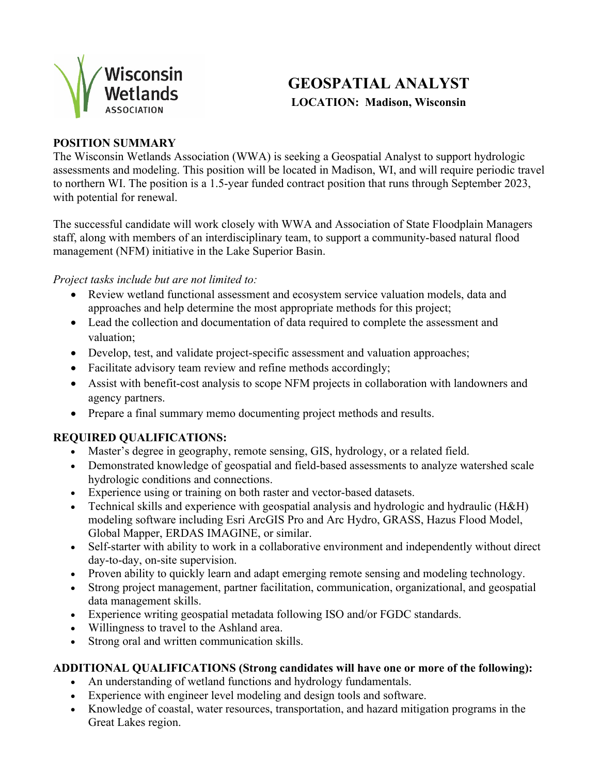

# **GEOSPATIAL ANALYST LOCATION: Madison, Wisconsin**

## **POSITION SUMMARY**

The Wisconsin Wetlands Association (WWA) is seeking a Geospatial Analyst to support hydrologic assessments and modeling. This position will be located in Madison, WI, and will require periodic travel to northern WI. The position is a 1.5-year funded contract position that runs through September 2023, with potential for renewal.

The successful candidate will work closely with WWA and Association of State Floodplain Managers staff, along with members of an interdisciplinary team, to support a community-based natural flood management (NFM) initiative in the Lake Superior Basin.

#### *Project tasks include but are not limited to:*

- Review wetland functional assessment and ecosystem service valuation models, data and approaches and help determine the most appropriate methods for this project;
- Lead the collection and documentation of data required to complete the assessment and valuation;
- Develop, test, and validate project-specific assessment and valuation approaches;
- Facilitate advisory team review and refine methods accordingly;
- Assist with benefit-cost analysis to scope NFM projects in collaboration with landowners and agency partners.
- Prepare a final summary memo documenting project methods and results.

## **REQUIRED QUALIFICATIONS:**

- Master's degree in geography, remote sensing, GIS, hydrology, or a related field.
- Demonstrated knowledge of geospatial and field-based assessments to analyze watershed scale hydrologic conditions and connections.
- Experience using or training on both raster and vector-based datasets.
- Technical skills and experience with geospatial analysis and hydrologic and hydraulic (H&H) modeling software including Esri ArcGIS Pro and Arc Hydro, GRASS, Hazus Flood Model, Global Mapper, ERDAS IMAGINE, or similar.
- Self-starter with ability to work in a collaborative environment and independently without direct day-to-day, on-site supervision.
- Proven ability to quickly learn and adapt emerging remote sensing and modeling technology.
- Strong project management, partner facilitation, communication, organizational, and geospatial data management skills.
- Experience writing geospatial metadata following ISO and/or FGDC standards.
- Willingness to travel to the Ashland area.
- Strong oral and written communication skills.

## **ADDITIONAL QUALIFICATIONS (Strong candidates will have one or more of the following):**

- An understanding of wetland functions and hydrology fundamentals.
- Experience with engineer level modeling and design tools and software.
- Knowledge of coastal, water resources, transportation, and hazard mitigation programs in the Great Lakes region.